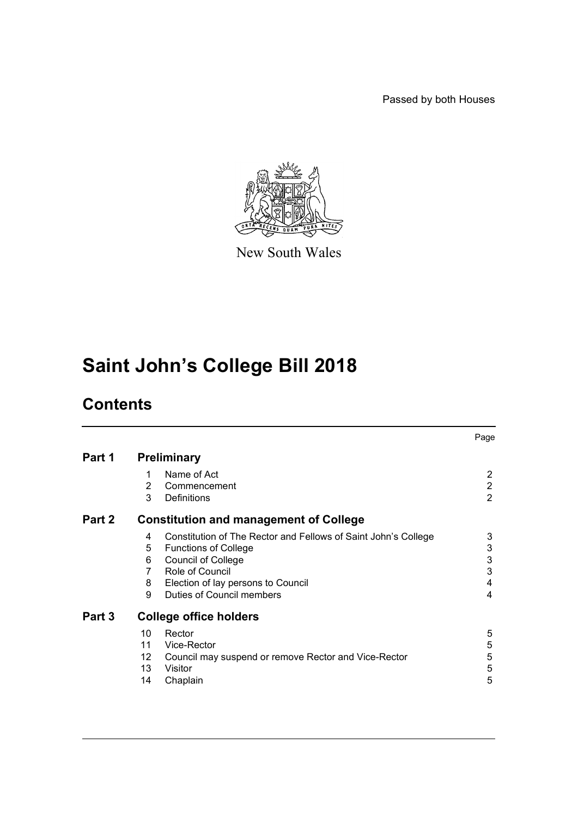Passed by both Houses



New South Wales

# **Saint John's College Bill 2018**

## **Contents**

|        |                                               |                                                                | Page           |
|--------|-----------------------------------------------|----------------------------------------------------------------|----------------|
| Part 1 | <b>Preliminary</b>                            |                                                                |                |
|        | 1                                             | Name of Act                                                    | 2              |
|        | 2                                             | Commencement                                                   | $\overline{2}$ |
|        | 3                                             | <b>Definitions</b>                                             | 2              |
| Part 2 | <b>Constitution and management of College</b> |                                                                |                |
|        | 4                                             | Constitution of The Rector and Fellows of Saint John's College | 3              |
|        | 5                                             | <b>Functions of College</b>                                    | 3              |
|        | 6                                             | <b>Council of College</b>                                      | 3              |
|        | $\overline{7}$                                | Role of Council                                                | 3              |
|        | 8                                             | Election of lay persons to Council                             | 4              |
|        | 9                                             | <b>Duties of Council members</b>                               | 4              |
| Part 3 | <b>College office holders</b>                 |                                                                |                |
|        | 10                                            | Rector                                                         | 5              |
|        | 11                                            | Vice-Rector                                                    | 5              |
|        | 12                                            | Council may suspend or remove Rector and Vice-Rector           | 5              |
|        | 13                                            | Visitor                                                        | 5              |
|        | 14                                            | Chaplain                                                       | 5              |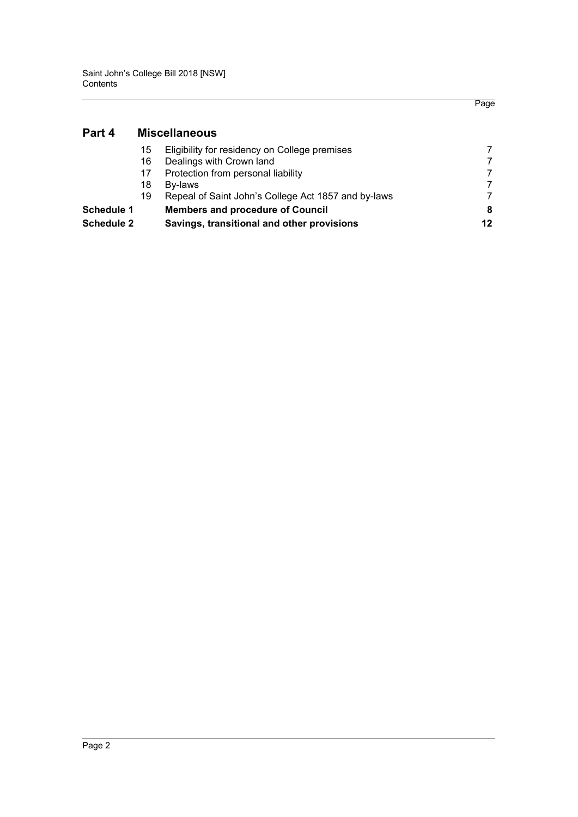**[Part 4 Miscellaneous](#page-8-0)**

### Page

| 15                                       | Eligibility for residency on College premises       |    |
|------------------------------------------|-----------------------------------------------------|----|
| Dealings with Crown land<br>16           |                                                     |    |
| Protection from personal liability<br>17 |                                                     |    |
| Bv-laws<br>18                            |                                                     |    |
| 19                                       | Repeal of Saint John's College Act 1857 and by-laws |    |
| <b>Schedule 1</b>                        | <b>Members and procedure of Council</b>             |    |
| <b>Schedule 2</b>                        | Savings, transitional and other provisions          | 12 |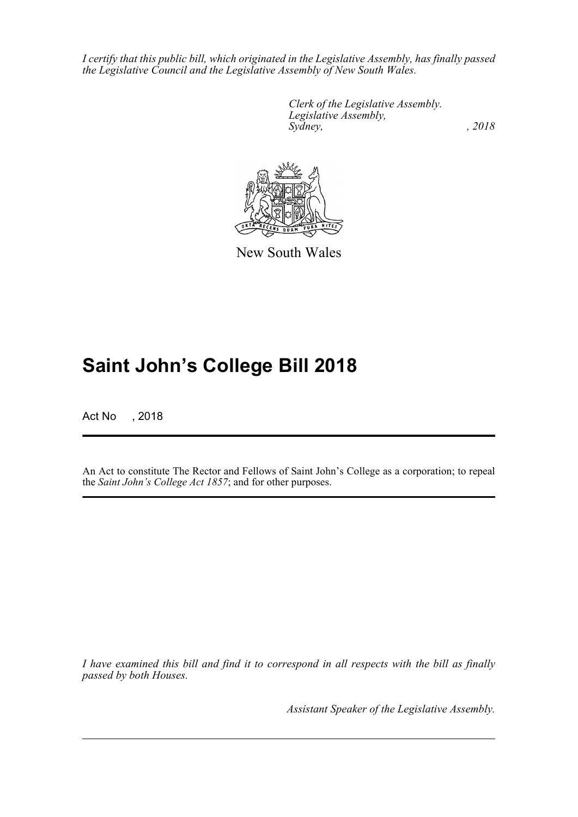*I certify that this public bill, which originated in the Legislative Assembly, has finally passed the Legislative Council and the Legislative Assembly of New South Wales.*

> *Clerk of the Legislative Assembly. Legislative Assembly, Sydney, , 2018*



New South Wales

## **Saint John's College Bill 2018**

Act No , 2018

An Act to constitute The Rector and Fellows of Saint John's College as a corporation; to repeal the *Saint John's College Act 1857*; and for other purposes.

*I have examined this bill and find it to correspond in all respects with the bill as finally passed by both Houses.*

*Assistant Speaker of the Legislative Assembly.*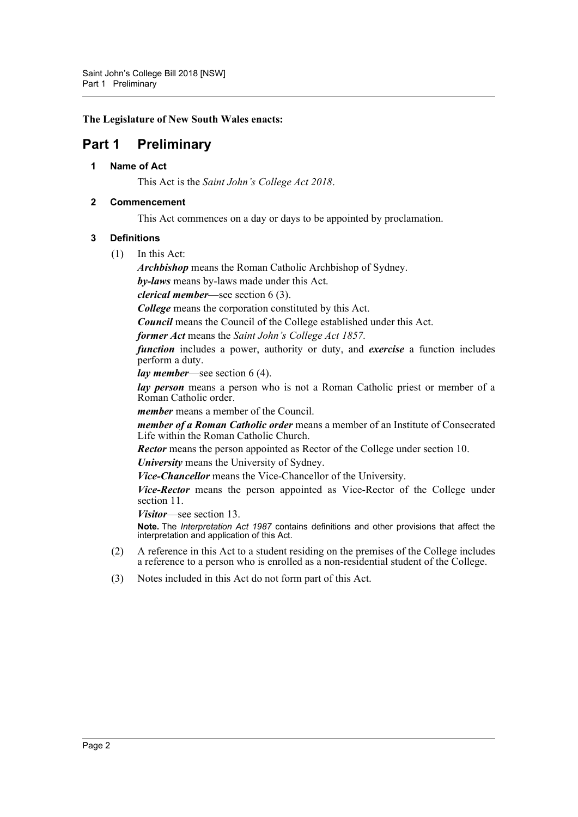**The Legislature of New South Wales enacts:**

## <span id="page-3-1"></span><span id="page-3-0"></span>**Part 1 Preliminary**

#### **1 Name of Act**

This Act is the *Saint John's College Act 2018*.

#### <span id="page-3-2"></span>**2 Commencement**

This Act commences on a day or days to be appointed by proclamation.

#### <span id="page-3-3"></span>**3 Definitions**

(1) In this Act:

*Archbishop* means the Roman Catholic Archbishop of Sydney.

*by-laws* means by-laws made under this Act.

*clerical member*—see section 6 (3).

*College* means the corporation constituted by this Act.

*Council* means the Council of the College established under this Act.

*former Act* means the *Saint John's College Act 1857.*

*function* includes a power, authority or duty, and *exercise* a function includes perform a duty.

*lay member*—see section 6 (4).

*lay person* means a person who is not a Roman Catholic priest or member of a Roman Catholic order.

*member* means a member of the Council.

*member of a Roman Catholic order* means a member of an Institute of Consecrated Life within the Roman Catholic Church.

*Rector* means the person appointed as Rector of the College under section 10.

*University* means the University of Sydney.

*Vice-Chancellor* means the Vice-Chancellor of the University.

*Vice-Rector* means the person appointed as Vice-Rector of the College under section 11.

*Visitor*—see section 13.

**Note.** The *Interpretation Act 1987* contains definitions and other provisions that affect the interpretation and application of this Act.

- (2) A reference in this Act to a student residing on the premises of the College includes a reference to a person who is enrolled as a non-residential student of the College.
- (3) Notes included in this Act do not form part of this Act.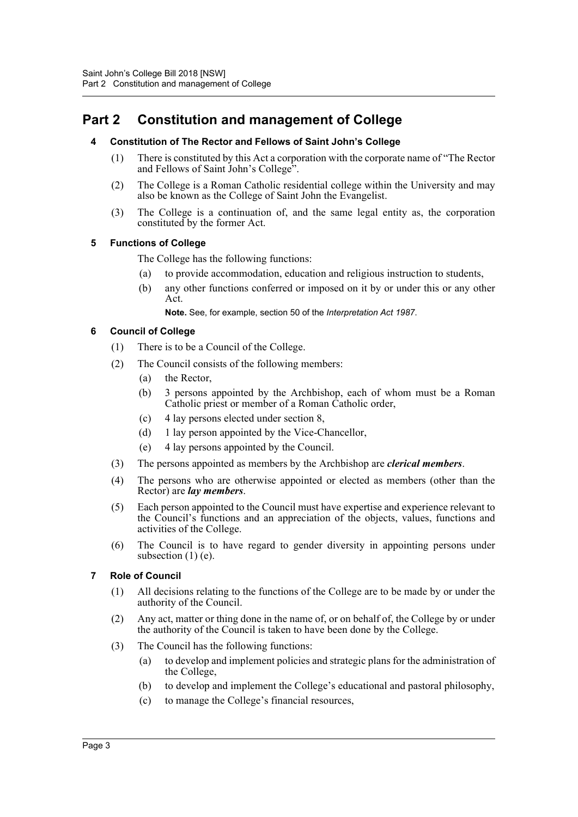## <span id="page-4-1"></span><span id="page-4-0"></span>**Part 2 Constitution and management of College**

#### **4 Constitution of The Rector and Fellows of Saint John's College**

- (1) There is constituted by this Act a corporation with the corporate name of "The Rector and Fellows of Saint John's College".
- (2) The College is a Roman Catholic residential college within the University and may also be known as the College of Saint John the Evangelist.
- (3) The College is a continuation of, and the same legal entity as, the corporation constituted by the former Act.

#### <span id="page-4-2"></span>**5 Functions of College**

The College has the following functions:

- (a) to provide accommodation, education and religious instruction to students,
- (b) any other functions conferred or imposed on it by or under this or any other Act.

**Note.** See, for example, section 50 of the *Interpretation Act 1987*.

#### <span id="page-4-3"></span>**6 Council of College**

- (1) There is to be a Council of the College.
- (2) The Council consists of the following members:
	- (a) the Rector,
	- (b) 3 persons appointed by the Archbishop, each of whom must be a Roman Catholic priest or member of a Roman Catholic order,
	- (c) 4 lay persons elected under section 8,
	- (d) 1 lay person appointed by the Vice-Chancellor,
	- (e) 4 lay persons appointed by the Council.
- (3) The persons appointed as members by the Archbishop are *clerical members*.
- (4) The persons who are otherwise appointed or elected as members (other than the Rector) are *lay members*.
- (5) Each person appointed to the Council must have expertise and experience relevant to the Council's functions and an appreciation of the objects, values, functions and activities of the College.
- (6) The Council is to have regard to gender diversity in appointing persons under subsection  $(1)$  (e).
- <span id="page-4-4"></span>**7 Role of Council**
	- (1) All decisions relating to the functions of the College are to be made by or under the authority of the Council.
	- (2) Any act, matter or thing done in the name of, or on behalf of, the College by or under the authority of the Council is taken to have been done by the College.
	- (3) The Council has the following functions:
		- (a) to develop and implement policies and strategic plans for the administration of the College,
		- (b) to develop and implement the College's educational and pastoral philosophy,
		- (c) to manage the College's financial resources,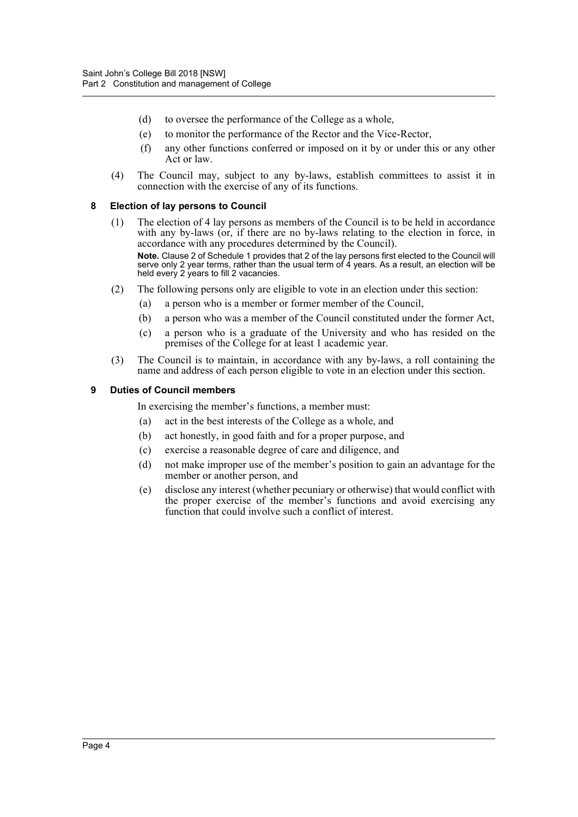- (d) to oversee the performance of the College as a whole,
- (e) to monitor the performance of the Rector and the Vice-Rector,
- (f) any other functions conferred or imposed on it by or under this or any other Act or law.
- (4) The Council may, subject to any by-laws, establish committees to assist it in connection with the exercise of any of its functions.

#### <span id="page-5-0"></span>**8 Election of lay persons to Council**

(1) The election of 4 lay persons as members of the Council is to be held in accordance with any by-laws (or, if there are no by-laws relating to the election in force, in accordance with any procedures determined by the Council). **Note.** Clause 2 of Schedule 1 provides that 2 of the lay persons first elected to the Council will

serve only 2 year terms, rather than the usual term of 4 years. As a result, an election will be held every 2 years to fill 2 vacancies.

- (2) The following persons only are eligible to vote in an election under this section:
	- (a) a person who is a member or former member of the Council,
	- (b) a person who was a member of the Council constituted under the former Act,
	- (c) a person who is a graduate of the University and who has resided on the premises of the College for at least 1 academic year.
- (3) The Council is to maintain, in accordance with any by-laws, a roll containing the name and address of each person eligible to vote in an election under this section.

#### <span id="page-5-1"></span>**9 Duties of Council members**

In exercising the member's functions, a member must:

- (a) act in the best interests of the College as a whole, and
- (b) act honestly, in good faith and for a proper purpose, and
- (c) exercise a reasonable degree of care and diligence, and
- (d) not make improper use of the member's position to gain an advantage for the member or another person, and
- (e) disclose any interest (whether pecuniary or otherwise) that would conflict with the proper exercise of the member's functions and avoid exercising any function that could involve such a conflict of interest.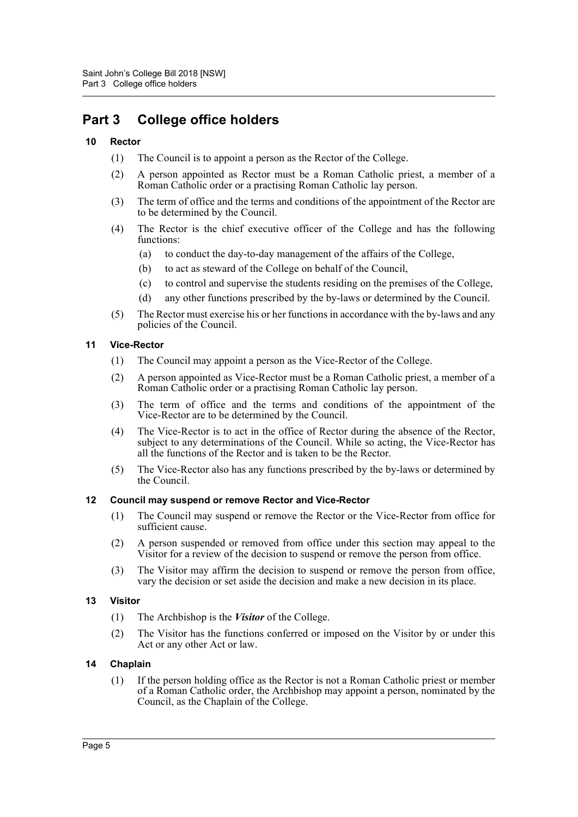## <span id="page-6-0"></span>**Part 3 College office holders**

#### <span id="page-6-1"></span>**10 Rector**

- (1) The Council is to appoint a person as the Rector of the College.
- (2) A person appointed as Rector must be a Roman Catholic priest, a member of a Roman Catholic order or a practising Roman Catholic lay person.
- (3) The term of office and the terms and conditions of the appointment of the Rector are to be determined by the Council.
- (4) The Rector is the chief executive officer of the College and has the following functions:
	- (a) to conduct the day-to-day management of the affairs of the College,
	- (b) to act as steward of the College on behalf of the Council,
	- (c) to control and supervise the students residing on the premises of the College,
	- (d) any other functions prescribed by the by-laws or determined by the Council.
- (5) The Rector must exercise his or her functions in accordance with the by-laws and any policies of the Council.

#### <span id="page-6-2"></span>**11 Vice-Rector**

- (1) The Council may appoint a person as the Vice-Rector of the College.
- (2) A person appointed as Vice-Rector must be a Roman Catholic priest, a member of a Roman Catholic order or a practising Roman Catholic lay person.
- (3) The term of office and the terms and conditions of the appointment of the Vice-Rector are to be determined by the Council.
- (4) The Vice-Rector is to act in the office of Rector during the absence of the Rector, subject to any determinations of the Council. While so acting, the Vice-Rector has all the functions of the Rector and is taken to be the Rector.
- (5) The Vice-Rector also has any functions prescribed by the by-laws or determined by the Council.

#### <span id="page-6-3"></span>**12 Council may suspend or remove Rector and Vice-Rector**

- (1) The Council may suspend or remove the Rector or the Vice-Rector from office for sufficient cause.
- (2) A person suspended or removed from office under this section may appeal to the Visitor for a review of the decision to suspend or remove the person from office.
- (3) The Visitor may affirm the decision to suspend or remove the person from office, vary the decision or set aside the decision and make a new decision in its place.

#### <span id="page-6-4"></span>**13 Visitor**

- (1) The Archbishop is the *Visitor* of the College.
- (2) The Visitor has the functions conferred or imposed on the Visitor by or under this Act or any other Act or law.

#### <span id="page-6-5"></span>**14 Chaplain**

(1) If the person holding office as the Rector is not a Roman Catholic priest or member of a Roman Catholic order, the Archbishop may appoint a person, nominated by the Council, as the Chaplain of the College.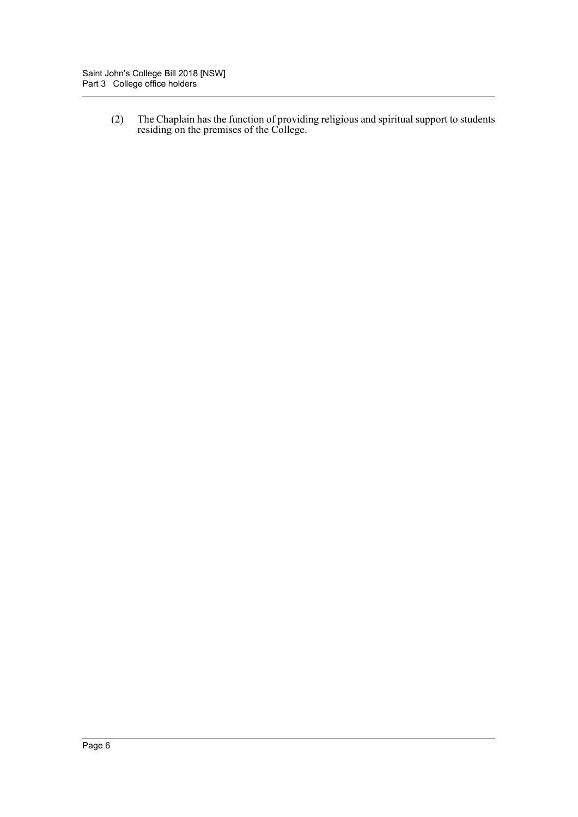(2) The Chaplain has the function of providing religious and spiritual support to students residing on the premises of the College.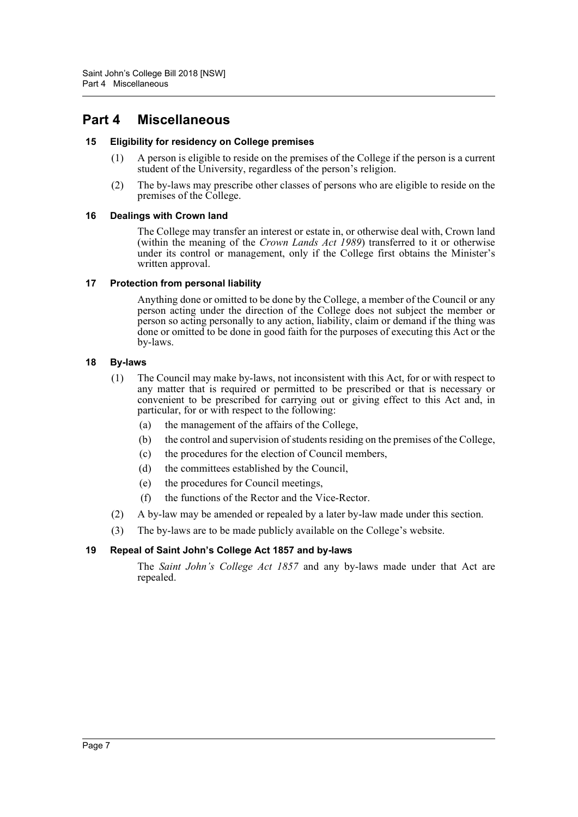## <span id="page-8-0"></span>**Part 4 Miscellaneous**

#### <span id="page-8-1"></span>**15 Eligibility for residency on College premises**

- (1) A person is eligible to reside on the premises of the College if the person is a current student of the University, regardless of the person's religion.
- (2) The by-laws may prescribe other classes of persons who are eligible to reside on the premises of the College.

#### <span id="page-8-2"></span>**16 Dealings with Crown land**

The College may transfer an interest or estate in, or otherwise deal with, Crown land (within the meaning of the *Crown Lands Act 1989*) transferred to it or otherwise under its control or management, only if the College first obtains the Minister's written approval.

#### <span id="page-8-3"></span>**17 Protection from personal liability**

Anything done or omitted to be done by the College, a member of the Council or any person acting under the direction of the College does not subject the member or person so acting personally to any action, liability, claim or demand if the thing was done or omitted to be done in good faith for the purposes of executing this Act or the by-laws.

#### <span id="page-8-4"></span>**18 By-laws**

- (1) The Council may make by-laws, not inconsistent with this Act, for or with respect to any matter that is required or permitted to be prescribed or that is necessary or convenient to be prescribed for carrying out or giving effect to this Act and, in particular, for or with respect to the following:
	- (a) the management of the affairs of the College,
	- (b) the control and supervision of students residing on the premises of the College,
	- (c) the procedures for the election of Council members,
	- (d) the committees established by the Council,
	- (e) the procedures for Council meetings,
	- (f) the functions of the Rector and the Vice-Rector.
- (2) A by-law may be amended or repealed by a later by-law made under this section.
- (3) The by-laws are to be made publicly available on the College's website.

#### <span id="page-8-5"></span>**19 Repeal of Saint John's College Act 1857 and by-laws**

The *Saint John's College Act 1857* and any by-laws made under that Act are repealed.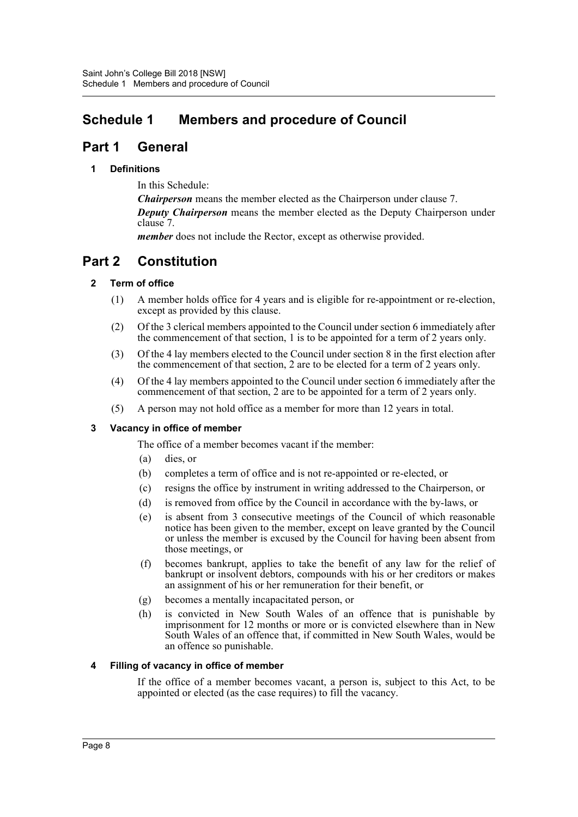## <span id="page-9-0"></span>**Schedule 1 Members and procedure of Council**

## **Part 1 General**

#### **1 Definitions**

In this Schedule:

*Chairperson* means the member elected as the Chairperson under clause 7. *Deputy Chairperson* means the member elected as the Deputy Chairperson under clause 7.

*member* does not include the Rector, except as otherwise provided.

## **Part 2 Constitution**

#### **2 Term of office**

- (1) A member holds office for 4 years and is eligible for re-appointment or re-election, except as provided by this clause.
- (2) Of the 3 clerical members appointed to the Council under section 6 immediately after the commencement of that section, 1 is to be appointed for a term of 2 years only.
- (3) Of the 4 lay members elected to the Council under section 8 in the first election after the commencement of that section, 2 are to be elected for a term of 2 years only.
- (4) Of the 4 lay members appointed to the Council under section 6 immediately after the commencement of that section, 2 are to be appointed for a term of 2 years only.
- (5) A person may not hold office as a member for more than 12 years in total.

#### **3 Vacancy in office of member**

The office of a member becomes vacant if the member:

- (a) dies, or
- (b) completes a term of office and is not re-appointed or re-elected, or
- (c) resigns the office by instrument in writing addressed to the Chairperson, or
- (d) is removed from office by the Council in accordance with the by-laws, or
- (e) is absent from 3 consecutive meetings of the Council of which reasonable notice has been given to the member, except on leave granted by the Council or unless the member is excused by the Council for having been absent from those meetings, or
- (f) becomes bankrupt, applies to take the benefit of any law for the relief of bankrupt or insolvent debtors, compounds with his or her creditors or makes an assignment of his or her remuneration for their benefit, or
- (g) becomes a mentally incapacitated person, or
- (h) is convicted in New South Wales of an offence that is punishable by imprisonment for 12 months or more or is convicted elsewhere than in New South Wales of an offence that, if committed in New South Wales, would be an offence so punishable.

#### **4 Filling of vacancy in office of member**

If the office of a member becomes vacant, a person is, subject to this Act, to be appointed or elected (as the case requires) to fill the vacancy.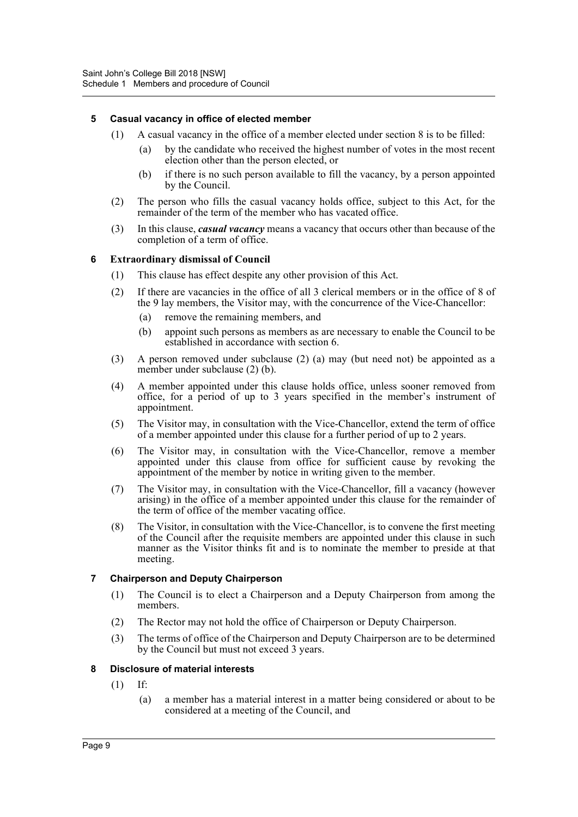#### **5 Casual vacancy in office of elected member**

- (1) A casual vacancy in the office of a member elected under section 8 is to be filled:
	- by the candidate who received the highest number of votes in the most recent election other than the person elected, or
	- (b) if there is no such person available to fill the vacancy, by a person appointed by the Council.
- (2) The person who fills the casual vacancy holds office, subject to this Act, for the remainder of the term of the member who has vacated office.
- (3) In this clause, *casual vacancy* means a vacancy that occurs other than because of the completion of a term of office.

#### **6 Extraordinary dismissal of Council**

- (1) This clause has effect despite any other provision of this Act.
- (2) If there are vacancies in the office of all 3 clerical members or in the office of 8 of the 9 lay members, the Visitor may, with the concurrence of the Vice-Chancellor:
	- (a) remove the remaining members, and
	- (b) appoint such persons as members as are necessary to enable the Council to be established in accordance with section 6.
- (3) A person removed under subclause (2) (a) may (but need not) be appointed as a member under subclause (2) (b).
- (4) A member appointed under this clause holds office, unless sooner removed from office, for a period of up to 3 years specified in the member's instrument of appointment.
- (5) The Visitor may, in consultation with the Vice-Chancellor, extend the term of office of a member appointed under this clause for a further period of up to 2 years.
- (6) The Visitor may, in consultation with the Vice-Chancellor, remove a member appointed under this clause from office for sufficient cause by revoking the appointment of the member by notice in writing given to the member.
- (7) The Visitor may, in consultation with the Vice-Chancellor, fill a vacancy (however arising) in the office of a member appointed under this clause for the remainder of the term of office of the member vacating office.
- (8) The Visitor, in consultation with the Vice-Chancellor, is to convene the first meeting of the Council after the requisite members are appointed under this clause in such manner as the Visitor thinks fit and is to nominate the member to preside at that meeting.

#### **7 Chairperson and Deputy Chairperson**

- (1) The Council is to elect a Chairperson and a Deputy Chairperson from among the members.
- (2) The Rector may not hold the office of Chairperson or Deputy Chairperson.
- (3) The terms of office of the Chairperson and Deputy Chairperson are to be determined by the Council but must not exceed 3 years.

#### **8 Disclosure of material interests**

- (1) If:
	- (a) a member has a material interest in a matter being considered or about to be considered at a meeting of the Council, and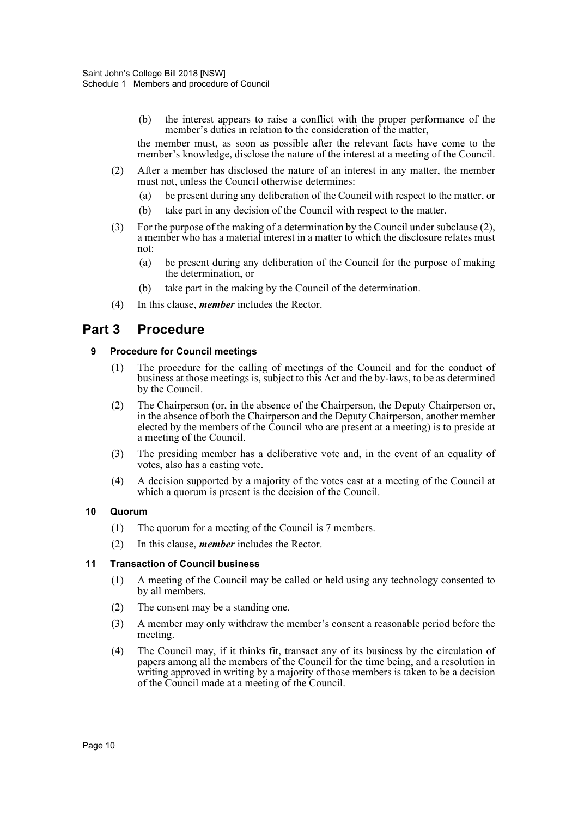(b) the interest appears to raise a conflict with the proper performance of the member's duties in relation to the consideration of the matter,

the member must, as soon as possible after the relevant facts have come to the member's knowledge, disclose the nature of the interest at a meeting of the Council.

- (2) After a member has disclosed the nature of an interest in any matter, the member must not, unless the Council otherwise determines:
	- (a) be present during any deliberation of the Council with respect to the matter, or
	- (b) take part in any decision of the Council with respect to the matter.
- (3) For the purpose of the making of a determination by the Council under subclause (2), a member who has a material interest in a matter to which the disclosure relates must not:
	- (a) be present during any deliberation of the Council for the purpose of making the determination, or
	- (b) take part in the making by the Council of the determination.
- (4) In this clause, *member* includes the Rector.

## **Part 3 Procedure**

#### **9 Procedure for Council meetings**

- (1) The procedure for the calling of meetings of the Council and for the conduct of business at those meetings is, subject to this Act and the by-laws, to be as determined by the Council.
- (2) The Chairperson (or, in the absence of the Chairperson, the Deputy Chairperson or, in the absence of both the Chairperson and the Deputy Chairperson, another member elected by the members of the Council who are present at a meeting) is to preside at a meeting of the Council.
- (3) The presiding member has a deliberative vote and, in the event of an equality of votes, also has a casting vote.
- (4) A decision supported by a majority of the votes cast at a meeting of the Council at which a quorum is present is the decision of the Council.

#### **10 Quorum**

- (1) The quorum for a meeting of the Council is 7 members.
- (2) In this clause, *member* includes the Rector.

#### **11 Transaction of Council business**

- (1) A meeting of the Council may be called or held using any technology consented to by all members.
- (2) The consent may be a standing one.
- (3) A member may only withdraw the member's consent a reasonable period before the meeting.
- (4) The Council may, if it thinks fit, transact any of its business by the circulation of papers among all the members of the Council for the time being, and a resolution in writing approved in writing by a majority of those members is taken to be a decision of the Council made at a meeting of the Council.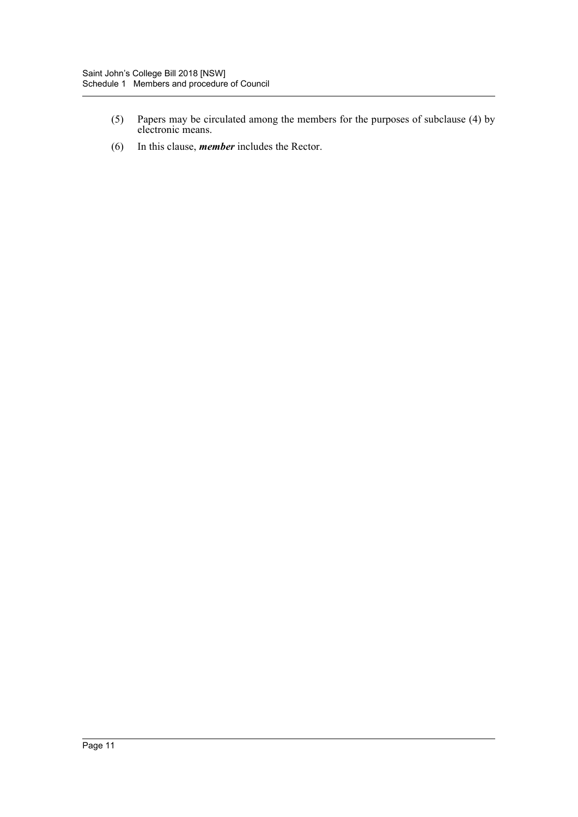- (5) Papers may be circulated among the members for the purposes of subclause (4) by electronic means.
- (6) In this clause, *member* includes the Rector.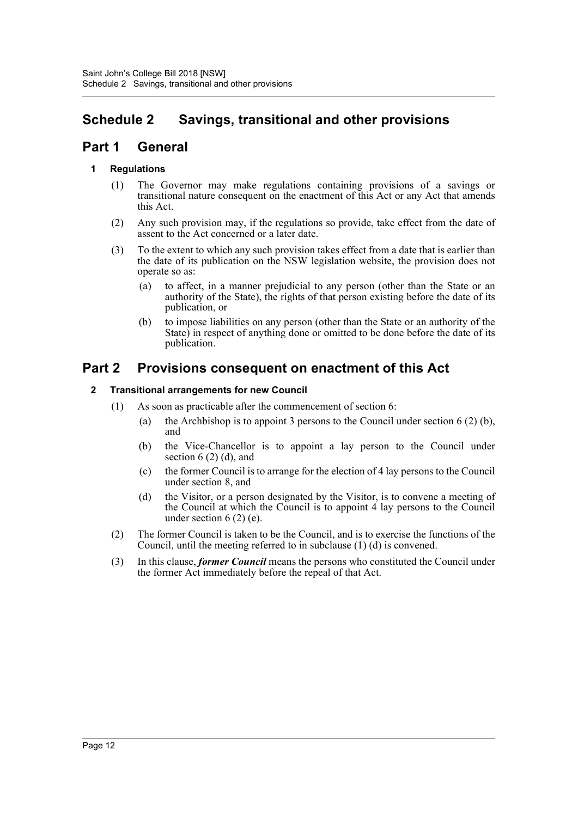## <span id="page-13-0"></span>**Schedule 2 Savings, transitional and other provisions**

## **Part 1 General**

#### **1 Regulations**

- (1) The Governor may make regulations containing provisions of a savings or transitional nature consequent on the enactment of this Act or any Act that amends this Act.
- (2) Any such provision may, if the regulations so provide, take effect from the date of assent to the Act concerned or a later date.
- (3) To the extent to which any such provision takes effect from a date that is earlier than the date of its publication on the NSW legislation website, the provision does not operate so as:
	- (a) to affect, in a manner prejudicial to any person (other than the State or an authority of the State), the rights of that person existing before the date of its publication, or
	- (b) to impose liabilities on any person (other than the State or an authority of the State) in respect of anything done or omitted to be done before the date of its publication.

## **Part 2 Provisions consequent on enactment of this Act**

#### **2 Transitional arrangements for new Council**

- (1) As soon as practicable after the commencement of section 6:
	- (a) the Archbishop is to appoint 3 persons to the Council under section 6 (2) (b), and
	- (b) the Vice-Chancellor is to appoint a lay person to the Council under section  $6(2)$  (d), and
	- (c) the former Council is to arrange for the election of 4 lay persons to the Council under section 8, and
	- (d) the Visitor, or a person designated by the Visitor, is to convene a meeting of the Council at which the Council is to appoint 4 lay persons to the Council under section  $6(2)$  (e).
- (2) The former Council is taken to be the Council, and is to exercise the functions of the Council, until the meeting referred to in subclause (1) (d) is convened.
- (3) In this clause, *former Council* means the persons who constituted the Council under the former Act immediately before the repeal of that Act.